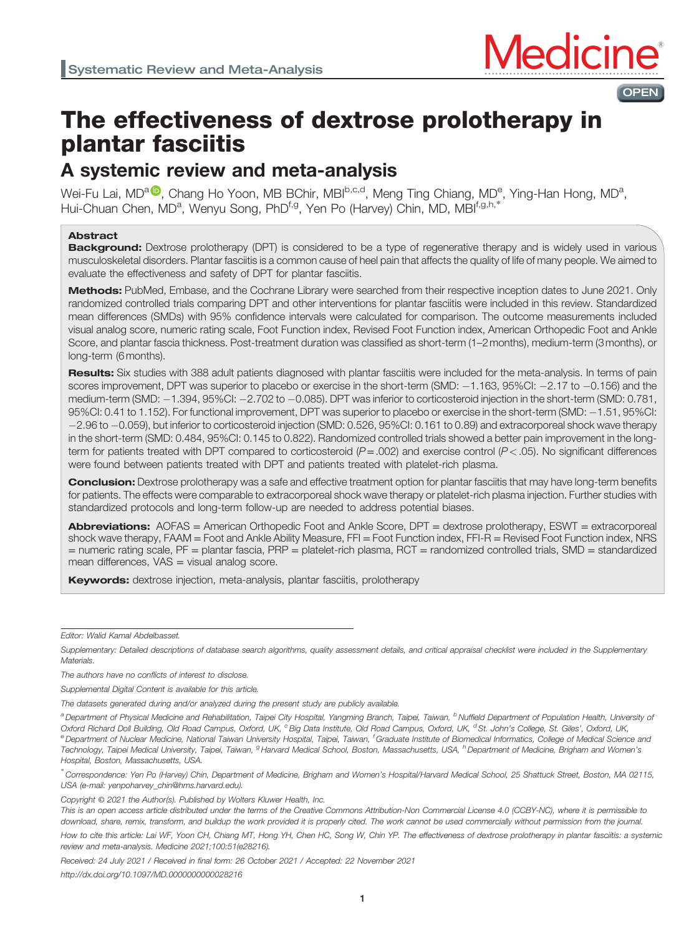

# The effectiveness of dextrose prolotherapy in plantar fasciitis

## A systemic review and meta-analysis

Wei-Fu Lai, MD<sup>a (D</sup>), Chang Ho Yoon, MB BChir, MBI<sup>b,c,d</sup>, Meng Ting Chiang, MD<sup>e</sup>, Ying-Han Hong, MD<sup>a</sup>, Hui-Chuan Chen, MD<sup>a</sup>, Wenyu Song, PhD<sup>f,g</sup>, Yen Po (Harvey) Chin, MD, MBI<sup>f,g,h,\*</sup>

#### Abstract

Background: Dextrose prolotherapy (DPT) is considered to be a type of regenerative therapy and is widely used in various musculoskeletal disorders. Plantar fasciitis is a common cause of heel pain that affects the quality of life of many people. We aimed to evaluate the effectiveness and safety of DPT for plantar fasciitis.

Methods: PubMed, Embase, and the Cochrane Library were searched from their respective inception dates to June 2021. Only randomized controlled trials comparing DPT and other interventions for plantar fasciitis were included in this review. Standardized mean differences (SMDs) with 95% confidence intervals were calculated for comparison. The outcome measurements included visual analog score, numeric rating scale, Foot Function index, Revised Foot Function index, American Orthopedic Foot and Ankle Score, and plantar fascia thickness. Post-treatment duration was classified as short-term (1–2months), medium-term (3months), or long-term (6months).

Results: Six studies with 388 adult patients diagnosed with plantar fasciitis were included for the meta-analysis. In terms of pain scores improvement, DPT was superior to placebo or exercise in the short-term (SMD:  $-1.163$ , 95%CI:  $-2.17$  to  $-0.156$ ) and the medium-term (SMD:  $-1.394$ , 95%CI:  $-2.702$  to  $-0.085$ ). DPT was inferior to corticosteroid injection in the short-term (SMD: 0.781, 95%CI: 0.41 to 1.152). For functional improvement, DPT was superior to placebo or exercise in the short-term (SMD: 1.51, 95%CI: 2.96 to 0.059), but inferior to corticosteroid injection (SMD: 0.526, 95%CI: 0.161 to 0.89) and extracorporeal shock wave therapy in the short-term (SMD: 0.484, 95%CI: 0.145 to 0.822). Randomized controlled trials showed a better pain improvement in the longterm for patients treated with DPT compared to corticosteroid  $(P=.002)$  and exercise control  $(P<.05)$ . No significant differences were found between patients treated with DPT and patients treated with platelet-rich plasma.

**Conclusion:** Dextrose prolotherapy was a safe and effective treatment option for plantar fasciitis that may have long-term benefits for patients. The effects were comparable to extracorporeal shock wave therapy or platelet-rich plasma injection. Further studies with standardized protocols and long-term follow-up are needed to address potential biases.

Abbreviations: AOFAS = American Orthopedic Foot and Ankle Score, DPT = dextrose prolotherapy, ESWT = extracorporeal shock wave therapy, FAAM = Foot and Ankle Ability Measure, FFI = Foot Function index, FFI-R = Revised Foot Function index, NRS = numeric rating scale, PF = plantar fascia, PRP = platelet-rich plasma, RCT = randomized controlled trials, SMD = standardized mean differences,  $VAS =$  visual analog score.

**Keywords:** dextrose injection, meta-analysis, plantar fasciitis, prolotherapy

Editor: Walid Kamal Abdelbasset.

Supplemental Digital Content is available for this article.

The datasets generated during and/or analyzed during the present study are publicly available.

<sup>a</sup> Department of Physical Medicine and Rehabilitation, Taipei City Hospital, Yangming Branch, Taipei, Taiwan, <sup>b</sup>Nuffield Department of Population Health, University of Oxford Richard Doll Building, Old Road Campus, Oxford, UK, <sup>c</sup> Big Data Institute, Old Road Campus, Oxford, UK, <sup>d</sup> St. John's College, St. Giles', Oxford, UK, e Department of Nuclear Medicine, National Taiwan University Hospital, Taipei, Taiwan, <sup>r</sup>Graduate Institute of Biomedical Informatics, College of Medical Science and Technology, Taipei Medical University, Taipei, Taiwan, <sup>g</sup> Harvard Medical School, Boston, Massachusetts, USA, <sup>h</sup>Department of Medicine, Brigham and Women's Hospital, Boston, Massachusetts, USA.

∗ Correspondence: Yen Po (Harvey) Chin, Department of Medicine, Brigham and Women's Hospital/Harvard Medical School, 25 Shattuck Street, Boston, MA 02115, USA (e-mail: [yenpoharvey\\_chin@hms.harvard.edu](mailto:yenpoharvey_chin@hms.harvard.edu)).

Copyright © 2021 the Author(s). Published by Wolters Kluwer Health, Inc.

This is an open access article distributed under the terms of the Creative Commons Attribution-Non Commercial License 4.0 (CCBY-NC), where it is permissible to download, share, remix, transform, and buildup the work provided it is properly cited. The work cannot be used commercially without permission from the journal.

How to cite this article: Lai WF, Yoon CH, Chiang MT, Hong YH, Chen HC, Song W, Chin YP. The effectiveness of dextrose prolotherapy in plantar fasciitis: a systemic review and meta-analysis. Medicine 2021;100:51(e28216).

Received: 24 July 2021 / Received in final form: 26 October 2021 / Accepted: 22 November 2021

<http://dx.doi.org/10.1097/MD.0000000000028216>

Supplementary: Detailed descriptions of database search algorithms, quality assessment details, and critical appraisal checklist were included in the Supplementary **Materials** 

The authors have no conflicts of interest to disclose.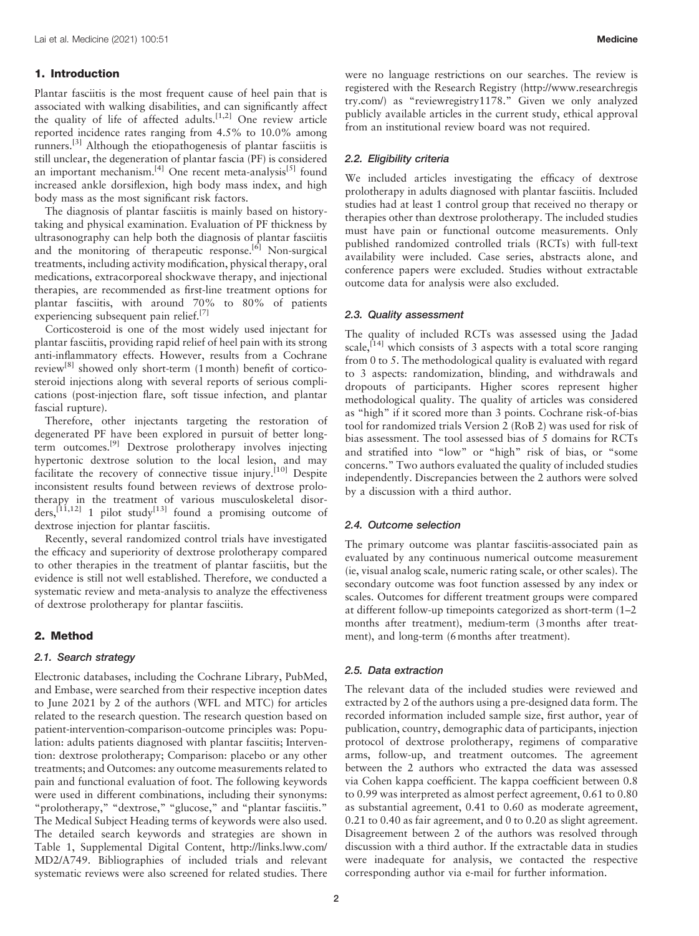#### 1. Introduction

Plantar fasciitis is the most frequent cause of heel pain that is associated with walking disabilities, and can significantly affect the quality of life of affected adults.<sup>[1,2]</sup> One review article reported incidence rates ranging from 4.5% to 10.0% among runners.[\[3\]](#page-8-0) Although the etiopathogenesis of plantar fasciitis is still unclear, the degeneration of plantar fascia (PF) is considered an important mechanism.<sup>[4]</sup> One recent meta-analysis<sup>[\[5\]](#page-8-0)</sup> found increased ankle dorsiflexion, high body mass index, and high body mass as the most significant risk factors.

The diagnosis of plantar fasciitis is mainly based on historytaking and physical examination. Evaluation of PF thickness by ultrasonography can help both the diagnosis of plantar fasciitis and the monitoring of therapeutic response.<sup>[\[6\]](#page-8-0)</sup> Non-surgical treatments, including activity modification, physical therapy, oral medications, extracorporeal shockwave therapy, and injectional therapies, are recommended as first-line treatment options for plantar fasciitis, with around 70% to 80% of patients experiencing subsequent pain relief.<sup>[\[7\]](#page-8-0)</sup>

Corticosteroid is one of the most widely used injectant for plantar fasciitis, providing rapid relief of heel pain with its strong anti-inflammatory effects. However, results from a Cochrane review<sup>[\[8\]](#page-8-0)</sup> showed only short-term  $(1 \text{ month})$  benefit of corticosteroid injections along with several reports of serious complications (post-injection flare, soft tissue infection, and plantar fascial rupture).

Therefore, other injectants targeting the restoration of degenerated PF have been explored in pursuit of better longterm outcomes.[\[9\]](#page-8-0) Dextrose prolotherapy involves injecting hypertonic dextrose solution to the local lesion, and may facilitate the recovery of connective tissue injury.<sup>[\[10\]](#page-8-0)</sup> Despite inconsistent results found between reviews of dextrose prolotherapy in the treatment of various musculoskeletal disor $ders$ ,<sup>[11,12]</sup> 1 pilot study<sup>[\[13\]](#page-8-0)</sup> found a promising outcome of dextrose injection for plantar fasciitis.

Recently, several randomized control trials have investigated the efficacy and superiority of dextrose prolotherapy compared to other therapies in the treatment of plantar fasciitis, but the evidence is still not well established. Therefore, we conducted a systematic review and meta-analysis to analyze the effectiveness of dextrose prolotherapy for plantar fasciitis.

#### 2. Method

#### 2.1. Search strategy

Electronic databases, including the Cochrane Library, PubMed, and Embase, were searched from their respective inception dates to June 2021 by 2 of the authors (WFL and MTC) for articles related to the research question. The research question based on patient-intervention-comparison-outcome principles was: Population: adults patients diagnosed with plantar fasciitis; Intervention: dextrose prolotherapy; Comparison: placebo or any other treatments; and Outcomes: any outcome measurements related to pain and functional evaluation of foot. The following keywords were used in different combinations, including their synonyms: "prolotherapy," "dextrose," "glucose," and "plantar fasciitis." The Medical Subject Heading terms of keywords were also used. The detailed search keywords and strategies are shown in Table 1, Supplemental Digital Content, [http://links.lww.com/](http://links.lww.com/MD2/A749) [MD2/A749](http://links.lww.com/MD2/A749). Bibliographies of included trials and relevant systematic reviews were also screened for related studies. There were no language restrictions on our searches. The review is registered with the Research Registry ([http://www.researchregis](http://www.researchregistry.com/) [try.com](http://www.researchregistry.com/)/) as "reviewregistry1178." Given we only analyzed publicly available articles in the current study, ethical approval from an institutional review board was not required.

#### 2.2. Eligibility criteria

We included articles investigating the efficacy of dextrose prolotherapy in adults diagnosed with plantar fasciitis. Included studies had at least 1 control group that received no therapy or therapies other than dextrose prolotherapy. The included studies must have pain or functional outcome measurements. Only published randomized controlled trials (RCTs) with full-text availability were included. Case series, abstracts alone, and conference papers were excluded. Studies without extractable outcome data for analysis were also excluded.

#### 2.3. Quality assessment

The quality of included RCTs was assessed using the Jadad scale,<sup>[\[14\]](#page-8-0)</sup> which consists of 3 aspects with a total score ranging from 0 to 5. The methodological quality is evaluated with regard to 3 aspects: randomization, blinding, and withdrawals and dropouts of participants. Higher scores represent higher methodological quality. The quality of articles was considered as "high" if it scored more than 3 points. Cochrane risk-of-bias tool for randomized trials Version 2 (RoB 2) was used for risk of bias assessment. The tool assessed bias of 5 domains for RCTs and stratified into "low" or "high" risk of bias, or "some concerns." Two authors evaluated the quality of included studies independently. Discrepancies between the 2 authors were solved by a discussion with a third author.

#### 2.4. Outcome selection

The primary outcome was plantar fasciitis-associated pain as evaluated by any continuous numerical outcome measurement (ie, visual analog scale, numeric rating scale, or other scales). The secondary outcome was foot function assessed by any index or scales. Outcomes for different treatment groups were compared at different follow-up timepoints categorized as short-term (1–2 months after treatment), medium-term (3months after treatment), and long-term (6months after treatment).

#### 2.5. Data extraction

The relevant data of the included studies were reviewed and extracted by 2 of the authors using a pre-designed data form. The recorded information included sample size, first author, year of publication, country, demographic data of participants, injection protocol of dextrose prolotherapy, regimens of comparative arms, follow-up, and treatment outcomes. The agreement between the 2 authors who extracted the data was assessed via Cohen kappa coefficient. The kappa coefficient between 0.8 to 0.99 was interpreted as almost perfect agreement, 0.61 to 0.80 as substantial agreement, 0.41 to 0.60 as moderate agreement, 0.21 to 0.40 as fair agreement, and 0 to 0.20 as slight agreement. Disagreement between 2 of the authors was resolved through discussion with a third author. If the extractable data in studies were inadequate for analysis, we contacted the respective corresponding author via e-mail for further information.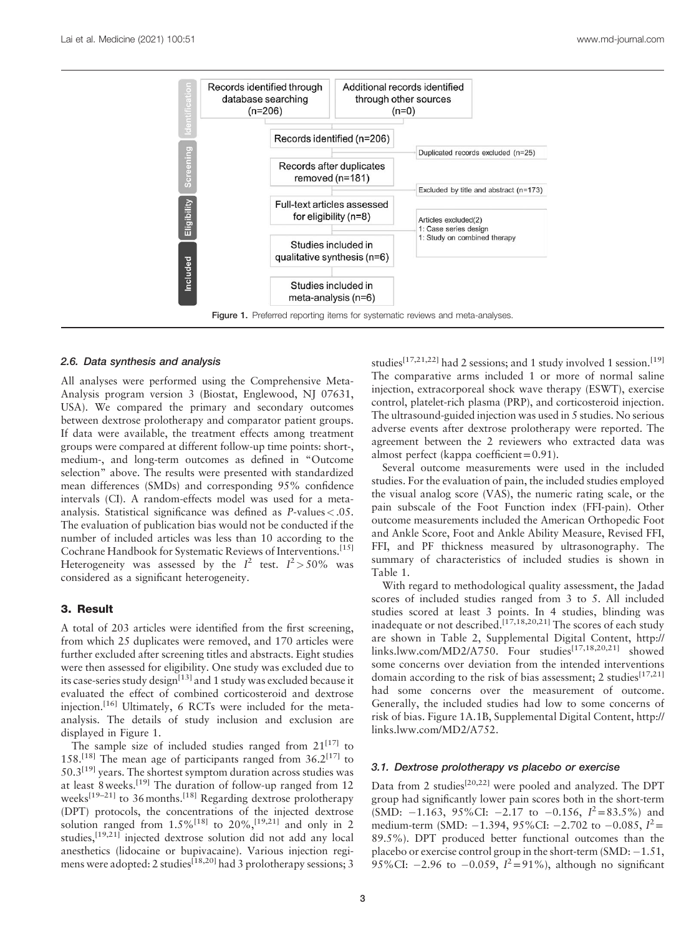

#### 2.6. Data synthesis and analysis

All analyses were performed using the Comprehensive Meta-Analysis program version 3 (Biostat, Englewood, NJ 07631, USA). We compared the primary and secondary outcomes between dextrose prolotherapy and comparator patient groups. If data were available, the treatment effects among treatment groups were compared at different follow-up time points: short-, medium-, and long-term outcomes as defined in "Outcome selection" above. The results were presented with standardized mean differences (SMDs) and corresponding 95% confidence intervals (CI). A random-effects model was used for a metaanalysis. Statistical significance was defined as P-values<.05. The evaluation of publication bias would not be conducted if the number of included articles was less than 10 according to the Cochrane Handbook for Systematic Reviews of Interventions.[\[15\]](#page-8-0) Heterogeneity was assessed by the  $I^2$  test.  $I^2 > 50\%$  was considered as a significant heterogeneity.

#### 3. Result

A total of 203 articles were identified from the first screening, from which 25 duplicates were removed, and 170 articles were further excluded after screening titles and abstracts. Eight studies were then assessed for eligibility. One study was excluded due to its case-series study design $[13]$  and 1 study was excluded because it evaluated the effect of combined corticosteroid and dextrose injection.[\[16\]](#page-8-0) Ultimately, 6 RCTs were included for the metaanalysis. The details of study inclusion and exclusion are displayed in Figure 1.

The sample size of included studies ranged from  $21^{[17]}$  $21^{[17]}$  $21^{[17]}$  to 158.<sup>[\[18\]](#page-8-0)</sup> The mean age of participants ranged from  $36.2$ <sup>[\[17\]](#page-8-0)</sup> to  $50.3$ <sup>[\[19\]](#page-8-0)</sup> years. The shortest symptom duration across studies was at least 8weeks.[\[19\]](#page-8-0) The duration of follow-up ranged from 12 weeks<sup>[19–21]</sup> to 36 months.<sup>[\[18\]](#page-8-0)</sup> Regarding dextrose prolotherapy (DPT) protocols, the concentrations of the injected dextrose solution ranged from  $1.5\%$ <sup>[\[18\]](#page-8-0)</sup> to  $20\%$ ,<sup>[19,21]</sup> and only in 2 studies,<sup>[19,21]</sup> injected dextrose solution did not add any local anesthetics (lidocaine or bupivacaine). Various injection regimens were adopted: 2 studies<sup>[18,20]</sup> had 3 prolotherapy sessions; 3 studies<sup>[17,21,22]</sup> had 2 sessions; and 1 study involved 1 session.<sup>[\[19\]](#page-8-0)</sup> The comparative arms included 1 or more of normal saline injection, extracorporeal shock wave therapy (ESWT), exercise control, platelet-rich plasma (PRP), and corticosteroid injection. The ultrasound-guided injection was used in 5 studies. No serious adverse events after dextrose prolotherapy were reported. The agreement between the 2 reviewers who extracted data was almost perfect (kappa coefficient=0.91).

Several outcome measurements were used in the included studies. For the evaluation of pain, the included studies employed the visual analog score (VAS), the numeric rating scale, or the pain subscale of the Foot Function index (FFI-pain). Other outcome measurements included the American Orthopedic Foot and Ankle Score, Foot and Ankle Ability Measure, Revised FFI, FFI, and PF thickness measured by ultrasonography. The summary of characteristics of included studies is shown in [Table 1.](#page-3-0)

With regard to methodological quality assessment, the Jadad scores of included studies ranged from 3 to 5. All included studies scored at least 3 points. In 4 studies, blinding was inadequate or not described.<sup>[17,18,20,21]</sup> The scores of each study are shown in Table 2, Supplemental Digital Content, [http://](http://links.lww.com/MD2/A750)  $links. lww.com/MD2/A750.$  Four studies<sup>[17,18,20,21]</sup> showed some concerns over deviation from the intended interventions domain according to the risk of bias assessment; 2 studies<sup>[17,21]</sup> had some concerns over the measurement of outcome. Generally, the included studies had low to some concerns of risk of bias. Figure 1A.1B, Supplemental Digital Content, [http://](http://links.lww.com/MD2/A752) [links.lww.com/MD2/A752.](http://links.lww.com/MD2/A752)

#### 3.1. Dextrose prolotherapy vs placebo or exercise

Data from 2 studies<sup>[20,22]</sup> were pooled and analyzed. The DPT group had significantly lower pain scores both in the short-term (SMD:  $-1.163$ , 95%CI:  $-2.17$  to  $-0.156$ ,  $I^2 = 83.5\%$ ) and medium-term (SMD:  $-1.394$ , 95%CI:  $-2.702$  to  $-0.085$ ,  $I^2$  = 89.5%). DPT produced better functional outcomes than the placebo or exercise control group in the short-term  $(SMD: -1.51,$ 95%CI:  $-2.96$  to  $-0.059$ ,  $I^2 = 91\%$ ), although no significant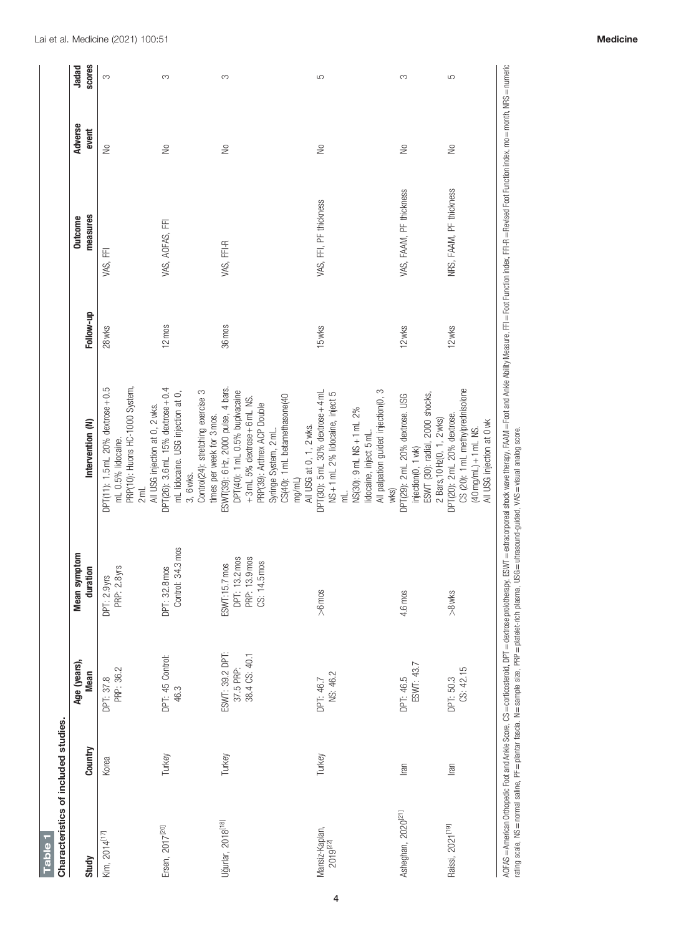<span id="page-3-0"></span>

| Study                           | Country | Age (years),<br><b>Mean</b>                   | <b>Mean symptom</b><br>duration                                  | Intervention (N)                                                                                                                                                                                                                     | Follow-up     | measures<br><b>Outcome</b> | <b>Adverse</b><br>event | <b>SCOTES</b><br>Jadad |
|---------------------------------|---------|-----------------------------------------------|------------------------------------------------------------------|--------------------------------------------------------------------------------------------------------------------------------------------------------------------------------------------------------------------------------------|---------------|----------------------------|-------------------------|------------------------|
| Kim, 2014 <sup>[17]</sup>       | Korea   | DPT: 37.8<br>PRP: 36.2                        | PRP: 2.8 yrs<br>DPT: 2.9yrs                                      | DPT(11): 1.5 mL 20% dextrose + 0.5<br>PRP(10): Huons HC-1000 System,<br>mL 0.5% lidocaine.<br>2 <sub>ml</sub>                                                                                                                        | <b>28 wks</b> | VAS, FFI                   | €                       | S                      |
| Ersen, 2017 <sup>[20]</sup>     | Turkey  | DPT: 45 Control:<br>46.3                      | Control: 34.3 mos<br>DPT: 32.8 mos                               | DPT(26): 3.6 mL 15% dextrose + 0.4<br>Control(24): stretching exercise 3<br>mL lidocaine. USG injection at 0,<br>All USG injection at 0, 2 wks.<br>times per week for 3 mos.<br>3, 6 wks.                                            | 12 mos        | VAS, AOFAS, FFI            | $\geq$                  | S                      |
| Jğurlar, 2018 <sup>[18]</sup>   | Turkey  | ESWT: 39.2 DPT:<br>38.4 CS: 40.1<br>37.5 PRP: | DPT: 13.2 mos<br>PRP: 13.9 mos<br>14.5 mos<br>ESWT:15.7 mos<br>ġ | ESWT(39): 6Hz, 2000 pulse, 4 bars.<br>DPT(40): 1 mL 0.5% bupivacaine<br>CS(40): 1 mL betamethasone(40<br>$+3$ mL 5% dextrose $+6$ mL NS.<br>PRP(39): Arthrex ACP Double<br>All USG at 0, 1, 2 wks.<br>Syringe System, 2 mL.<br>mg/ml | 36 mos        | VAS, FFI-R                 | €                       | 3                      |
| Mansiz-Kaplan,<br>$2019^{[22]}$ | Turkey  | NS: 46.2<br>DPT: 46.7                         | $> 6$ mos                                                        | All palpation guided injection(0, 3<br>DPT(30): 5mL 30% dextrose + 4mL<br>NS+1mL 2% lidocaine, inject 5<br>NS(30): 9mL NS + 1 mL 2%<br>lidocaine, inject 5 mL.<br>W <sub>KS</sub><br>ہے۔<br>E                                        | 15wks         | VAS, FFI, PF thickness     | S                       | 5                      |
| Asheghan, 2020 <sup>[21]</sup>  | lran    | ESWT: 43.7<br>DPT: 46.5                       | 90<br>4.6 mo                                                     | ESWT (30): radial, 2000 shocks,<br>DPT(29): 2mL 20% dextrose. USG<br>2 Bars, 10 Hz(0, 1, 2 wks)<br>injection(0, 1 wk)                                                                                                                | 12 wks        | VAS, FAAM, PF thickness    | €                       | S                      |
| Raissi, 2021 <sup>[19]</sup>    | lran    | CS: 42.15<br>DPT: 50.3                        | $> 8$ wks                                                        | CS (20): 1 mL methylprednisolone<br>DPT(20): 2mL 20% dextrose.<br>All USG injection at 0 wk<br>$(40 \text{ mg/mL}) + 1 \text{ mL NS}.$                                                                                               | 12 wks        | NRS, FAAM, PF thickness    | $\geq$                  | 5                      |

Table 1

Table 1

4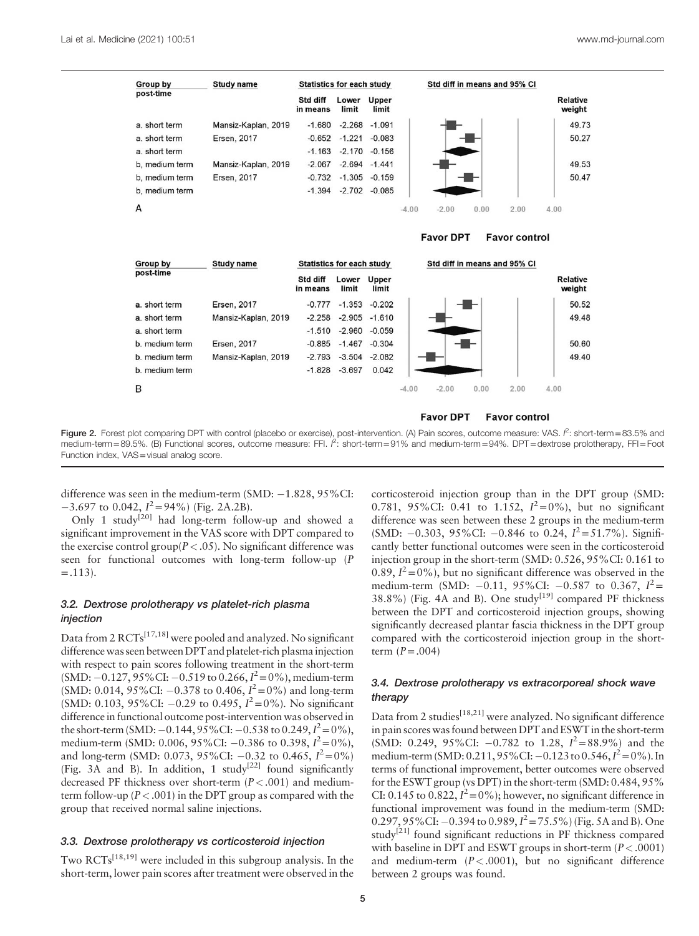

#### **Favor DPT Favor control**

**Favor DPT** 

| Group by       | Study name          | <b>Statistics for each study</b> |                |                 |         |         |      | Std diff in means and 95% CI |                    |
|----------------|---------------------|----------------------------------|----------------|-----------------|---------|---------|------|------------------------------|--------------------|
| post-time      |                     | Std diff<br>in means             | Lower<br>limit | Upper<br>limit  |         |         |      |                              | Relative<br>weight |
| a. short term  | Ersen, 2017         | $-0.777$                         | $-1.353$       | $-0.202$        |         |         |      |                              | 50.52              |
| a. short term  | Mansiz-Kaplan, 2019 | $-2.258$                         |                | $-2.905 -1.610$ |         |         |      |                              | 49.48              |
| a. short term  |                     | $-1.510$                         | $-2.960$       | $-0.059$        |         |         |      |                              |                    |
| b. medium term | Ersen, 2017         | $-0.885$                         | $-1.467$       | $-0.304$        |         |         |      |                              | 50.60              |
| b. medium term | Mansiz-Kaplan, 2019 | $-2.793$                         | $-3.504$       | $-2.082$        |         |         |      |                              | 49.40              |
| b. medium term |                     | $-1.828$                         | $-3.697$       | 0.042           |         |         |      |                              |                    |
| B              |                     |                                  |                |                 | $-4.00$ | $-2.00$ | 0.00 | 2.00                         | 4.00               |

**Figure 2.** Forest plot comparing DPT with control (placebo or exercise), post-intervention. (A) Pain scores, outcome measure: VAS.  $\beta$ : short-term=83.5% and<br>medium-term = 89.5% (B) Functional scores, outcome measure: FE medium-term=89.5%. (B) Functional scores, outcome measure: FFI.  $\hat{F}$ : short-term=91% and medium-term=94%. DPT=dextrose prolotherapy, FFI=Foot Function index, VAS=visual analog score.

difference was seen in the medium-term  $(SMD: -1.828, 95\% CI:$  $-3.697$  to 0.042,  $I^2 = 94\%$ ) (Fig. 2A.2B).

Only 1 study<sup>[\[20\]](#page-8-0)</sup> had long-term follow-up and showed a significant improvement in the VAS score with DPT compared to the exercise control group( $P < .05$ ). No significant difference was seen for functional outcomes with long-term follow-up (P  $=$ .113).

## 3.2. Dextrose prolotherapy vs platelet-rich plasma injection

Data from 2 RCTs[17,18] were pooled and analyzed. No significant difference was seen between DPT and platelet-rich plasma injection with respect to pain scores following treatment in the short-term (SMD:  $-0.127,95\%$ CI:  $-0.519$  to 0.266,  $I^2 = 0\%$ ), medium-term (SMD: 0.014, 95%CI:  $-0.378$  to 0.406,  $I^2 = 0\%$ ) and long-term (SMD: 0.103, 95%CI:  $-0.29$  to 0.495,  $I^2 = 0$ %). No significant difference in functional outcome post-intervention was observed in the short-term (SMD:  $-0.144$ ,  $95\%$ CI:  $-0.538$  to  $0.249$ ,  $I^2 = 0\%$ ), medium-term (SMD: 0.006, 95%CI:  $-0.386$  to 0.398,  $I^2 = 0\%$ ), and long-term (SMD: 0.073, 95%CI:  $-0.32$  to 0.465,  $I^2 = 0\%$ ) ([Fig. 3A](#page-5-0) and B). In addition, 1 study<sup>[\[22\]](#page-8-0)</sup> found significantly decreased PF thickness over short-term  $(P < .001)$  and mediumterm follow-up ( $P < .001$ ) in the DPT group as compared with the group that received normal saline injections.

## 3.3. Dextrose prolotherapy vs corticosteroid injection

Two RCTs<sup>[18,19]</sup> were included in this subgroup analysis. In the short-term, lower pain scores after treatment were observed in the corticosteroid injection group than in the DPT group (SMD: 0.781, 95%CI: 0.41 to 1.152,  $I^2=0\%$ ), but no significant difference was seen between these 2 groups in the medium-term (SMD:  $-0.303$ , 95%CI:  $-0.846$  to 0.24,  $I^2 = 51.7$ %). Significantly better functional outcomes were seen in the corticosteroid injection group in the short-term (SMD: 0.526, 95%CI: 0.161 to 0.89,  $I^2 = 0\%$ , but no significant difference was observed in the medium-term (SMD:  $-0.11$ , 95%CI:  $-0.587$  to 0.367,  $I^2$  =  $38.8\%$ ) ([Fig. 4](#page-6-0)A and B). One study<sup>[19]</sup> compared PF thickness between the DPT and corticosteroid injection groups, showing significantly decreased plantar fascia thickness in the DPT group compared with the corticosteroid injection group in the shortterm  $(P=.004)$ 

**Favor control** 

## 3.4. Dextrose prolotherapy vs extracorporeal shock wave therapy

Data from 2 studies<sup>[18,21]</sup> were analyzed. No significant difference in pain scores was found between DPT and ESWT in the short-term (SMD: 0.249, 95%CI:  $-0.782$  to 1.28,  $I^2 = 88.9\%$ ) and the medium-term (SMD: 0.211, 95% CI: -0.123 to 0.546,  $I^2 = 0$ %). In terms of functional improvement, better outcomes were observed for the ESWT group (vs DPT) in the short-term (SMD: 0.484, 95% CI: 0.145 to 0.822,  $I^2 = 0\%$ ; however, no significant difference in functional improvement was found in the medium-term (SMD: 0.297, 95%CI:  $-0.394$  to 0.989,  $I^2 = 75.5$ %) [\(Fig. 5A](#page-6-0) and B). One study<sup>[21]</sup> found significant reductions in PF thickness compared with baseline in DPT and ESWT groups in short-term  $(P < .0001)$ and medium-term  $(P < .0001)$ , but no significant difference between 2 groups was found.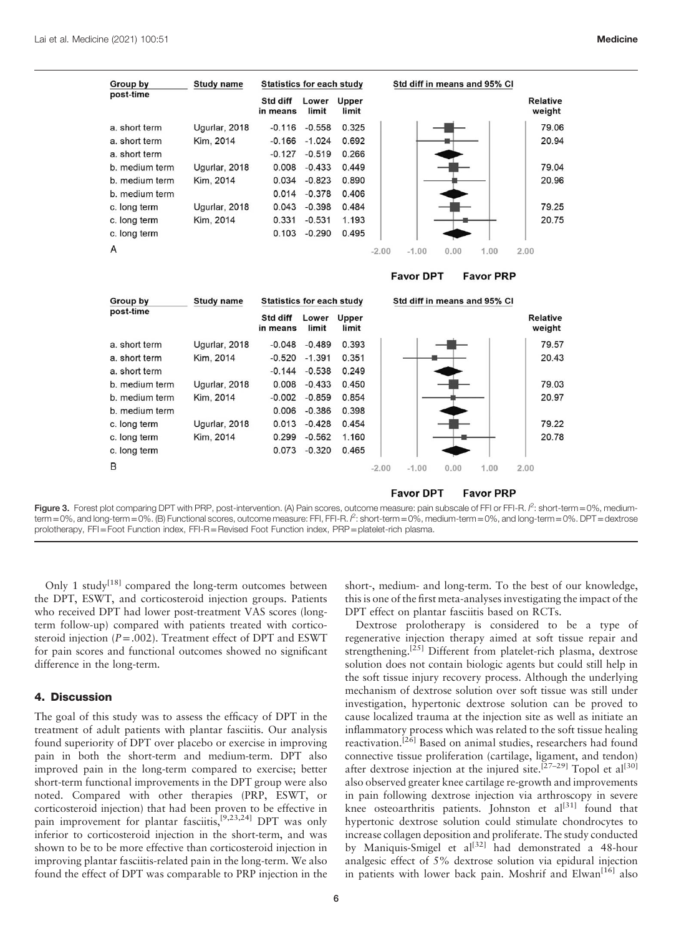<span id="page-5-0"></span>

| Group by                         | <b>Study name</b> | <b>Statistics for each study</b> |                |                |         | Std diff in means and 95% CI |      |                  |                           |
|----------------------------------|-------------------|----------------------------------|----------------|----------------|---------|------------------------------|------|------------------|---------------------------|
| post-time                        |                   | Std diff<br>in means             | Lower<br>limit | Upper<br>limit |         |                              |      |                  | <b>Relative</b><br>weight |
| a. short term                    | Ugurlar, 2018     | $-0.116$                         | $-0.558$       | 0.325          |         |                              |      |                  | 79.06                     |
| a, short term                    | Kim, 2014         | $-0.166$                         | $-1.024$       | 0.692          |         |                              |      |                  | 20.94                     |
| a. short term                    |                   | $-0.127$                         | $-0.519$       | 0.266          |         |                              |      |                  |                           |
| b. medium term                   | Ugurlar, 2018     | 0.008                            | $-0.433$       | 0.449          |         |                              |      |                  | 79.04                     |
| b. medium term                   | Kim, 2014         | 0.034                            | $-0.823$       | 0.890          |         |                              |      |                  | 20.96                     |
| b. medium term                   |                   | 0.014                            | $-0.378$       | 0.406          |         |                              |      |                  |                           |
| c. long term                     | Ugurlar, 2018     | 0.043                            | $-0.398$       | 0.484          |         |                              |      |                  | 79.25                     |
| c. long term                     | Kim, 2014         | 0.331                            | $-0.531$       | 1.193          |         |                              |      |                  | 20.75                     |
| c. long term                     |                   | 0.103                            | $-0.290$       | 0.495          |         |                              |      |                  |                           |
| A                                |                   |                                  |                |                | $-2.00$ | $-1.00$                      | 0.00 | 1.00             | 2.00                      |
|                                  |                   |                                  |                |                |         | <b>Favor DPT</b>             |      | <b>Favor PRP</b> |                           |
| Group by                         | <b>Study name</b> | <b>Statistics for each study</b> |                |                |         | Std diff in means and 95% CI |      |                  |                           |
| post-time                        |                   | Std diff<br>in means             | Lower<br>limit | Upper<br>limit |         |                              |      |                  | <b>Relative</b><br>weight |
| a. short term                    | Ugurlar, 2018     | $-0.048$                         | $-0.489$       | 0.393          |         |                              |      |                  | 79.57                     |
| a. short term                    | Kim, 2014         | $-0.520$                         | $-1.391$       | 0.351          |         |                              |      |                  | 20.43                     |
| a. short term                    |                   | $-0.144$                         | $-0.538$       | 0.249          |         |                              |      |                  |                           |
|                                  |                   |                                  |                |                |         |                              |      |                  |                           |
|                                  | Ugurlar, 2018     | 0.008                            | $-0.433$       | 0.450          |         |                              |      |                  | 79.03                     |
| b. medium term<br>b. medium term | Kim, 2014         | $-0.002$                         | $-0.859$       | 0.854          |         |                              |      |                  | 20.97                     |
| b. medium term                   |                   | 0.006                            | $-0.386$       | 0.398          |         |                              |      |                  |                           |
| c. long term                     | Ugurlar, 2018     | 0.013                            | $-0.428$       | 0.454          |         |                              |      |                  | 79.22                     |
| c. long term                     | Kim, 2014         | 0.299                            | $-0.562$       | 1.160          |         |                              |      |                  | 20.78                     |
| c. long term                     |                   | 0.073                            | $-0.320$       | 0.465          |         |                              |      |                  |                           |

**Favor DPT Favor PRP** 

**Figure 3.** Forest plot comparing DPT with PRP, post-intervention. (A) Pain scores, outcome measure: pain subscale of FFI or FFI-R. *f* : short-term=0%, medium-<br>term=0%, and long-term=0%. (B) Functional scores, outcome mea  $e^2$ : short-term = 0%, mediumprolotherapy, FFI=Foot Function index, FFI-R=Revised Foot Function index, PRP=platelet-rich plasma.

Only 1 study<sup>[\[18\]](#page-8-0)</sup> compared the long-term outcomes between the DPT, ESWT, and corticosteroid injection groups. Patients who received DPT had lower post-treatment VAS scores (longterm follow-up) compared with patients treated with corticosteroid injection  $(P=.002)$ . Treatment effect of DPT and ESWT for pain scores and functional outcomes showed no significant difference in the long-term.

#### 4. Discussion

The goal of this study was to assess the efficacy of DPT in the treatment of adult patients with plantar fasciitis. Our analysis found superiority of DPT over placebo or exercise in improving pain in both the short-term and medium-term. DPT also improved pain in the long-term compared to exercise; better short-term functional improvements in the DPT group were also noted. Compared with other therapies (PRP, ESWT, or corticosteroid injection) that had been proven to be effective in pain improvement for plantar fasciitis,<sup>[9,23,24]</sup> DPT was only inferior to corticosteroid injection in the short-term, and was shown to be to be more effective than corticosteroid injection in improving plantar fasciitis-related pain in the long-term. We also found the effect of DPT was comparable to PRP injection in the short-, medium- and long-term. To the best of our knowledge, this is one of the first meta-analyses investigating the impact of the DPT effect on plantar fasciitis based on RCTs.

Dextrose prolotherapy is considered to be a type of regenerative injection therapy aimed at soft tissue repair and strengthening.<sup>[\[25\]](#page-8-0)</sup> Different from platelet-rich plasma, dextrose solution does not contain biologic agents but could still help in the soft tissue injury recovery process. Although the underlying mechanism of dextrose solution over soft tissue was still under investigation, hypertonic dextrose solution can be proved to cause localized trauma at the injection site as well as initiate an inflammatory process which was related to the soft tissue healing reactivation.<sup>[\[26\]](#page-8-0)</sup> Based on animal studies, researchers had found connective tissue proliferation (cartilage, ligament, and tendon) after dextrose injection at the injured site.<sup>[27–29]</sup> Topol et al<sup>[\[30\]](#page-8-0)</sup> also observed greater knee cartilage re-growth and improvements in pain following dextrose injection via arthroscopy in severe knee osteoarthritis patients. Johnston et  $al^{[31]}$  $al^{[31]}$  $al^{[31]}$  found that hypertonic dextrose solution could stimulate chondrocytes to increase collagen deposition and proliferate. The study conducted by Maniquis-Smigel et  $al^{[32]}$  $al^{[32]}$  $al^{[32]}$  had demonstrated a 48-hour analgesic effect of 5% dextrose solution via epidural injection in patients with lower back pain. Moshrif and Elwan<sup>[\[16\]](#page-8-0)</sup> also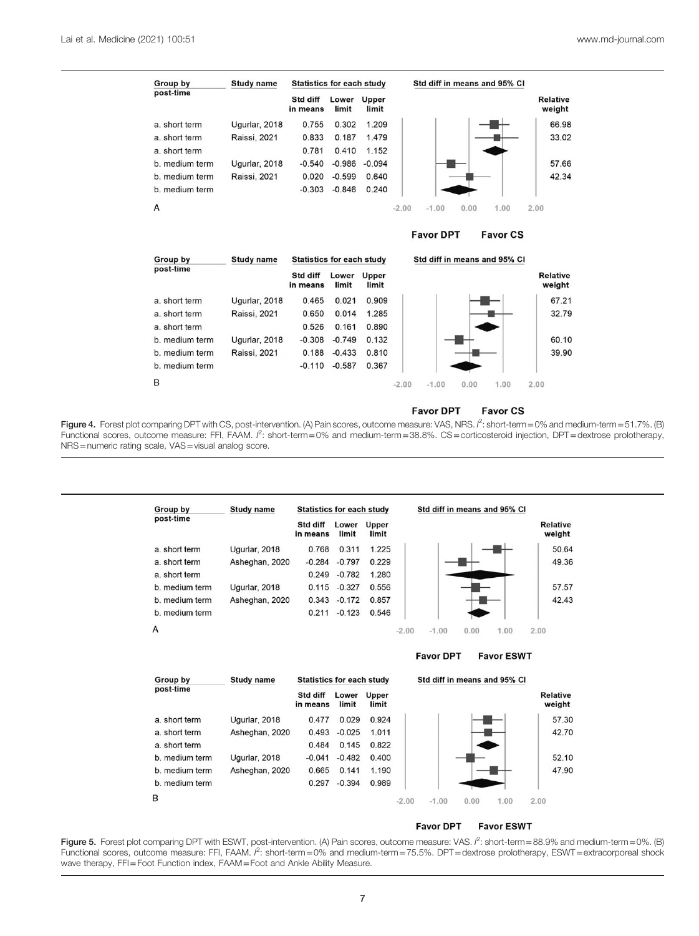<span id="page-6-0"></span>

#### **Favor DPT Favor CS**

Group by **Study name Statistics for each study** Std diff in means and 95% CI post-time Std diff **Relative** Lower Upper in means limit limit weight 0.909 a, short term Ugurlar, 2018 0.465  $0.021$ 67.21 Raissi, 2021 0.650 0.014 1.285 a. short term 32.79 a. short term 0.526 0.161 0.890 b. medium term Ugurlar, 2018  $-0.308$  $-0.749$ 0.132 60.10 b. medium term Raissi, 2021 0.188  $-0.433$ 0.810 39.90 b. medium term  $-0.110 -0.587$ 0.367 B  $-2.00$  $-1.00$  $0.00$ 1.00  $2.00$ 

#### **Favor DPT Favor CS**

**Figure 4.** Forest plot comparing DPT with CS, post-intervention. (A) Pain scores, outcome measure: VAS, NRS. /<sup>2</sup>: short-term=0% and medium-term=51.7%. (B)<br>Functional scores, outcome measure: FFI, FAAM. /<sup>2</sup>: short-term=0  $2$ : short-term = 0% and medium-term = 51.7%. (B) NRS=numeric rating scale, VAS=visual analog score.



**Figure 5.** Forest plot comparing DPT with ESWT, post-intervention. (A) Pain scores, outcome measure: VAS. /<sup>2</sup>: short-term=88.9% and medium-term=0%. (B)<br>Functional scores, outcome measure: FFI, FAAM. /<sup>2</sup>: short-term=0% a  $2$ : short-term = 88.9% and medium-term = 0%. (B) wave therapy, FFI=Foot Function index, FAAM=Foot and Ankle Ability Measure.

 $\overline{7}$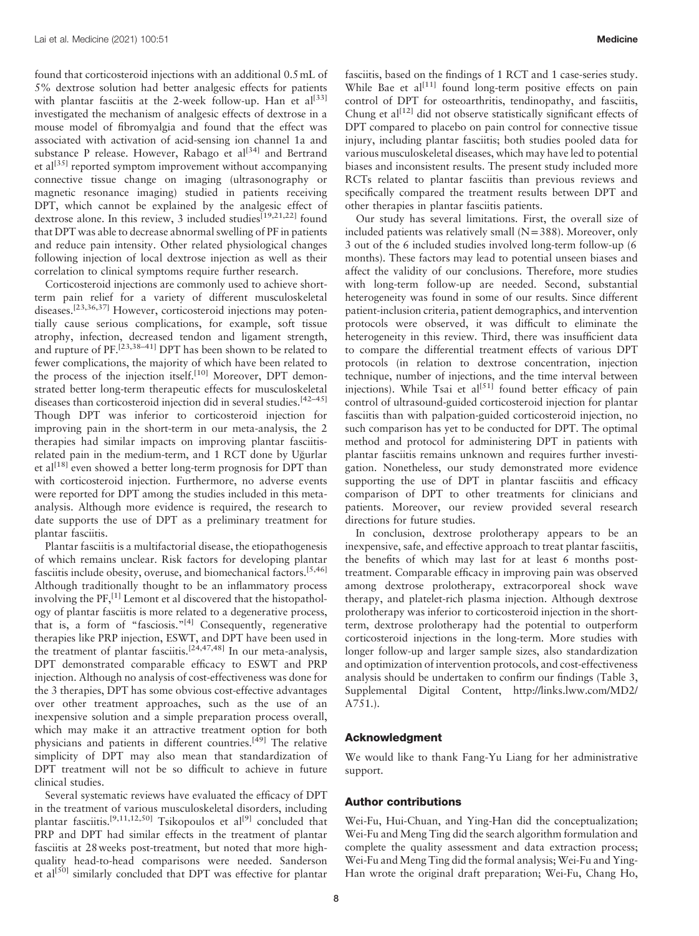found that corticosteroid injections with an additional 0.5mL of 5% dextrose solution had better analgesic effects for patients with plantar fasciitis at the 2-week follow-up. Han et  $al^{[33]}$  $al^{[33]}$  $al^{[33]}$ investigated the mechanism of analgesic effects of dextrose in a mouse model of fibromyalgia and found that the effect was associated with activation of acid-sensing ion channel 1a and substance P release. However, Rabago et  $al^{[34]}$  $al^{[34]}$  $al^{[34]}$  and Bertrand et al $[35]$  reported symptom improvement without accompanying connective tissue change on imaging (ultrasonography or magnetic resonance imaging) studied in patients receiving DPT, which cannot be explained by the analgesic effect of dextrose alone. In this review, 3 included studies<sup>[19,21,22]</sup> found that DPT was able to decrease abnormal swelling of PF in patients and reduce pain intensity. Other related physiological changes following injection of local dextrose injection as well as their correlation to clinical symptoms require further research.

Corticosteroid injections are commonly used to achieve shortterm pain relief for a variety of different musculoskeletal diseases.<sup>[23,36,37]</sup> However, corticosteroid injections may potentially cause serious complications, for example, soft tissue atrophy, infection, decreased tendon and ligament strength, and rupture of PF.<sup>[23,38-41]</sup> DPT has been shown to be related to fewer complications, the majority of which have been related to the process of the injection itself.<sup>[\[10\]](#page-8-0)</sup> Moreover, DPT demonstrated better long-term therapeutic effects for musculoskeletal diseases than corticosteroid injection did in several studies.<sup>[42-45]</sup> Though DPT was inferior to corticosteroid injection for improving pain in the short-term in our meta-analysis, the 2 therapies had similar impacts on improving plantar fasciitisrelated pain in the medium-term, and 1 RCT done by Ugurlar et al<sup>[\[18\]](#page-8-0)</sup> even showed a better long-term prognosis for DPT than with corticosteroid injection. Furthermore, no adverse events were reported for DPT among the studies included in this metaanalysis. Although more evidence is required, the research to date supports the use of DPT as a preliminary treatment for plantar fasciitis.

Plantar fasciitis is a multifactorial disease, the etiopathogenesis of which remains unclear. Risk factors for developing plantar fasciitis include obesity, overuse, and biomechanical factors.[5,46] Although traditionally thought to be an inflammatory process involving the PF,<sup>[1]</sup> Lemont et al discovered that the histopathology of plantar fasciitis is more related to a degenerative process, that is, a form of "fasciosis."<sup>[\[4\]](#page-8-0)</sup> Consequently, regenerative therapies like PRP injection, ESWT, and DPT have been used in the treatment of plantar fasciitis.<sup>[24,47,48]</sup> In our meta-analysis, DPT demonstrated comparable efficacy to ESWT and PRP injection. Although no analysis of cost-effectiveness was done for the 3 therapies, DPT has some obvious cost-effective advantages over other treatment approaches, such as the use of an inexpensive solution and a simple preparation process overall, which may make it an attractive treatment option for both physicians and patients in different countries.<sup>[\[49\]](#page-9-0)</sup> The relative simplicity of DPT may also mean that standardization of DPT treatment will not be so difficult to achieve in future clinical studies.

Several systematic reviews have evaluated the efficacy of DPT in the treatment of various musculoskeletal disorders, including plantar fasciitis.<sup>[9,11,12,50]</sup> Tsikopoulos et al<sup>[\[9\]](#page-8-0)</sup> concluded that PRP and DPT had similar effects in the treatment of plantar fasciitis at 28 weeks post-treatment, but noted that more highquality head-to-head comparisons were needed. Sanderson et al<sup>[\[50\]](#page-9-0)</sup> similarly concluded that DPT was effective for plantar fasciitis, based on the findings of 1 RCT and 1 case-series study. While Bae et  $al^{[11]}$  $al^{[11]}$  $al^{[11]}$  found long-term positive effects on pain control of DPT for osteoarthritis, tendinopathy, and fasciitis, Chung et  $al^{[12]}$  $al^{[12]}$  $al^{[12]}$  did not observe statistically significant effects of DPT compared to placebo on pain control for connective tissue injury, including plantar fasciitis; both studies pooled data for various musculoskeletal diseases, which may have led to potential biases and inconsistent results. The present study included more RCTs related to plantar fasciitis than previous reviews and specifically compared the treatment results between DPT and other therapies in plantar fasciitis patients.

Our study has several limitations. First, the overall size of included patients was relatively small  $(N=388)$ . Moreover, only 3 out of the 6 included studies involved long-term follow-up (6 months). These factors may lead to potential unseen biases and affect the validity of our conclusions. Therefore, more studies with long-term follow-up are needed. Second, substantial heterogeneity was found in some of our results. Since different patient-inclusion criteria, patient demographics, and intervention protocols were observed, it was difficult to eliminate the heterogeneity in this review. Third, there was insufficient data to compare the differential treatment effects of various DPT protocols (in relation to dextrose concentration, injection technique, number of injections, and the time interval between injections). While Tsai et al<sup>[\[51\]](#page-9-0)</sup> found better efficacy of pain control of ultrasound-guided corticosteroid injection for plantar fasciitis than with palpation-guided corticosteroid injection, no such comparison has yet to be conducted for DPT. The optimal method and protocol for administering DPT in patients with plantar fasciitis remains unknown and requires further investigation. Nonetheless, our study demonstrated more evidence supporting the use of DPT in plantar fasciitis and efficacy comparison of DPT to other treatments for clinicians and patients. Moreover, our review provided several research directions for future studies.

In conclusion, dextrose prolotherapy appears to be an inexpensive, safe, and effective approach to treat plantar fasciitis, the benefits of which may last for at least 6 months posttreatment. Comparable efficacy in improving pain was observed among dextrose prolotherapy, extracorporeal shock wave therapy, and platelet-rich plasma injection. Although dextrose prolotherapy was inferior to corticosteroid injection in the shortterm, dextrose prolotherapy had the potential to outperform corticosteroid injections in the long-term. More studies with longer follow-up and larger sample sizes, also standardization and optimization of intervention protocols, and cost-effectiveness analysis should be undertaken to confirm our findings (Table 3, Supplemental Digital Content, [http://links.lww.com/MD2/](http://links.lww.com/MD2/A751) [A751](http://links.lww.com/MD2/A751).).

#### Acknowledgment

We would like to thank Fang-Yu Liang for her administrative support.

#### Author contributions

Wei-Fu, Hui-Chuan, and Ying-Han did the conceptualization; Wei-Fu and Meng Ting did the search algorithm formulation and complete the quality assessment and data extraction process; Wei-Fu and Meng Ting did the formal analysis; Wei-Fu and Ying-Han wrote the original draft preparation; Wei-Fu, Chang Ho,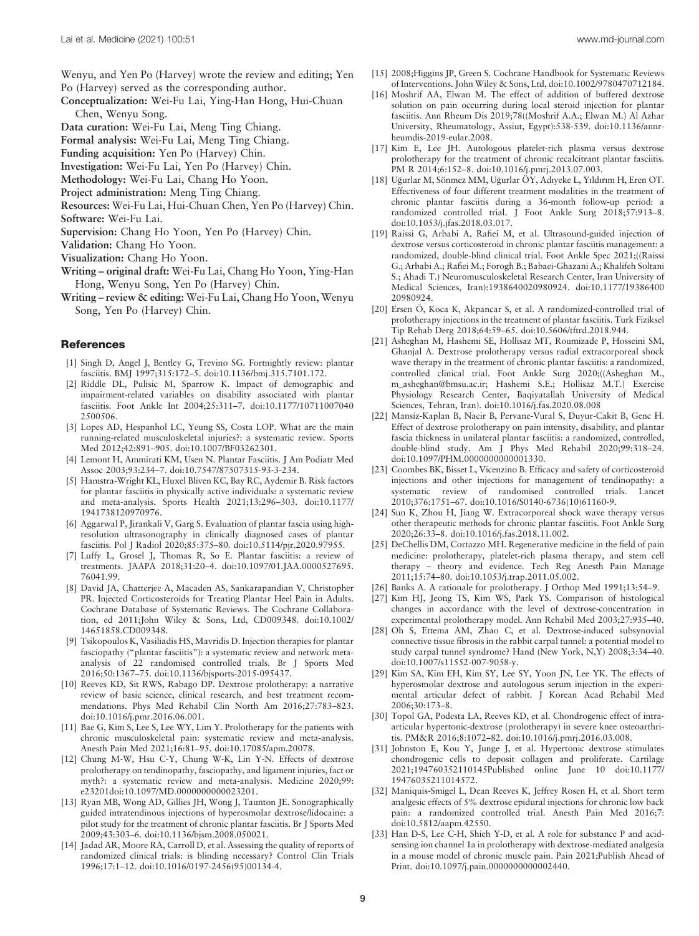<span id="page-8-0"></span>Wenyu, and Yen Po (Harvey) wrote the review and editing; Yen Po (Harvey) served as the corresponding author.

- Conceptualization: Wei-Fu Lai, Ying-Han Hong, Hui-Chuan Chen, Wenyu Song.
- Data curation: Wei-Fu Lai, Meng Ting Chiang.
- Formal analysis: Wei-Fu Lai, Meng Ting Chiang.
- Funding acquisition: Yen Po (Harvey) Chin.
- Investigation: Wei-Fu Lai, Yen Po (Harvey) Chin.
- Methodology: Wei-Fu Lai, Chang Ho Yoon.
- Project administration: Meng Ting Chiang.
- Resources: Wei-Fu Lai, Hui-Chuan Chen, Yen Po (Harvey) Chin. Software: Wei-Fu Lai.
- Supervision: Chang Ho Yoon, Yen Po (Harvey) Chin.
- Validation: Chang Ho Yoon.
- Visualization: Chang Ho Yoon.
- Writing original draft: Wei-Fu Lai, Chang Ho Yoon, Ying-Han Hong, Wenyu Song, Yen Po (Harvey) Chin.
- Writing review & editing: Wei-Fu Lai, Chang Ho Yoon, Wenyu Song, Yen Po (Harvey) Chin.

#### References

- [1] Singh D, Angel J, Bentley G, Trevino SG. Fortnightly review: plantar fasciitis. BMJ 1997;315:172–5. doi:10.1136/bmj.315.7101.172.
- [2] Riddle DL, Pulisic M, Sparrow K. Impact of demographic and impairment-related variables on disability associated with plantar fasciitis. Foot Ankle Int 2004;25:311–7. doi:10.1177/10711007040 2500506.
- [3] Lopes AD, Hespanhol LC, Yeung SS, Costa LOP. What are the main running-related musculoskeletal injuries?: a systematic review. Sports Med 2012;42:891–905. doi:10.1007/BF03262301.
- [4] Lemont H, Ammirati KM, Usen N. Plantar Fasciitis. J Am Podiatr Med Assoc 2003;93:234–7. doi:10.7547/87507315-93-3-234.
- [5] Hamstra-Wright KL, Huxel Bliven KC, Bay RC, Aydemir B. Risk factors for plantar fasciitis in physically active individuals: a systematic review and meta-analysis. Sports Health 2021;13:296–303. doi:10.1177/ 1941738120970976.
- [6] Aggarwal P, Jirankali V, Garg S. Evaluation of plantar fascia using highresolution ultrasonography in clinically diagnosed cases of plantar fasciitis. Pol J Radiol 2020;85:375–80. doi:10.5114/pjr.2020.97955.
- [7] Luffy L, Grosel J, Thomas R, So E. Plantar fasciitis: a review of treatments. JAAPA 2018;31:20–4. doi:10.1097/01.JAA.0000527695. 76041.99.
- [8] David JA, Chatterjee A, Macaden AS, Sankarapandian V, Christopher PR. Injected Corticosteroids for Treating Plantar Heel Pain in Adults. Cochrane Database of Systematic Reviews. The Cochrane Collaboration, ed 2011;John Wiley & Sons, Ltd, CD009348. doi:10.1002/ 14651858.CD009348.
- [9] Tsikopoulos K, Vasiliadis HS, Mavridis D. Injection therapies for plantar fasciopathy ("plantar fasciitis"): a systematic review and network metaanalysis of 22 randomised controlled trials. Br J Sports Med 2016;50:1367–75. doi:10.1136/bjsports-2015-095437.
- [10] Reeves KD, Sit RWS, Rabago DP. Dextrose prolotherapy: a narrative review of basic science, clinical research, and best treatment recommendations. Phys Med Rehabil Clin North Am 2016;27:783–823. doi:10.1016/j.pmr.2016.06.001.
- [11] Bae G, Kim S, Lee S, Lee WY, Lim Y. Prolotherapy for the patients with chronic musculoskeletal pain: systematic review and meta-analysis. Anesth Pain Med 2021;16:81–95. doi:10.17085/apm.20078.
- [12] Chung M-W, Hsu C-Y, Chung W-K, Lin Y-N. Effects of dextrose prolotherapy on tendinopathy, fasciopathy, and ligament injuries, fact or myth?: a systematic review and meta-analysis. Medicine 2020;99: e23201doi:10.1097/MD.0000000000023201.
- [13] Ryan MB, Wong AD, Gillies JH, Wong J, Taunton JE. Sonographically guided intratendinous injections of hyperosmolar dextrose/lidocaine: a pilot study for the treatment of chronic plantar fasciitis. Br J Sports Med 2009;43:303–6. doi:10.1136/bjsm.2008.050021.
- [14] Jadad AR, Moore RA, Carroll D, et al. Assessing the quality of reports of randomized clinical trials: is blinding necessary? Control Clin Trials 1996;17:1–12. doi:10.1016/0197-2456(95)00134-4.
- [15] 2008;Higgins JP, Green S. Cochrane Handbook for Systematic Reviews of Interventions. John Wiley & Sons, Ltd, doi:10.1002/9780470712184.
- [16] Moshrif AA, Elwan M. The effect of addition of buffered dextrose solution on pain occurring during local steroid injection for plantar fasciitis. Ann Rheum Dis 2019;78((Moshrif A.A.; Elwan M.) Al Azhar University, Rheumatology, Assiut, Egypt):538-539. doi:10.1136/annrheumdis-2019-eular.2008.
- [17] Kim E, Lee JH. Autologous platelet-rich plasma versus dextrose prolotherapy for the treatment of chronic recalcitrant plantar fasciitis. PM R 2014;6:152–8. doi:10.1016/j.pmrj.2013.07.003.
- [18] Ugurlar M, Sönmez MM, Ugurlar ÖY, Adıyeke L, Yıldırım H, Eren OT. Effectiveness of four different treatment modalities in the treatment of chronic plantar fasciitis during a 36-month follow-up period: a randomized controlled trial. J Foot Ankle Surg 2018;57:913–8. doi:10.1053/j.jfas.2018.03.017.
- [19] Raissi G, Arbabi A, Rafiei M, et al. Ultrasound-guided injection of dextrose versus corticosteroid in chronic plantar fasciitis management: a randomized, double-blind clinical trial. Foot Ankle Spec 2021;((Raissi G.; Arbabi A.; Rafiei M.; Forogh B.; Babaei-Ghazani A.; Khalifeh Soltani S.; Ahadi T.) Neuromusculoskeletal Research Center, Iran University of Medical Sciences, Iran):1938640020980924. doi:10.1177/19386400 20980924.
- [20] Ersen Ö, Koca K, Akpancar S, et al. A randomized-controlled trial of prolotherapy injections in the treatment of plantar fasciitis. Turk Fiziksel Tip Rehab Derg 2018;64:59–65. doi:10.5606/tftrd.2018.944.
- [21] Asheghan M, Hashemi SE, Hollisaz MT, Roumizade P, Hosseini SM, Ghanjal A. Dextrose prolotherapy versus radial extracorporeal shock wave therapy in the treatment of chronic plantar fasciitis: a randomized, controlled clinical trial. Foot Ankle Surg 2020;((Asheghan M., [m\\_asheghan@bmsu.ac.ir](mailto:m_asheghan@bmsu.ac.ir); Hashemi S.E.; Hollisaz M.T.) Exercise Physiology Research Center, Baqiyatallah University of Medical Sciences, Tehran, Iran). doi:10.1016/j.fas.2020.08.008
- [22] Mansiz-Kaplan B, Nacir B, Pervane-Vural S, Duyur-Cakit B, Genc H. Effect of dextrose prolotherapy on pain intensity, disability, and plantar fascia thickness in unilateral plantar fasciitis: a randomized, controlled, double-blind study. Am J Phys Med Rehabil 2020;99:318–24. doi:10.1097/PHM.0000000000001330.
- [23] Coombes BK, Bisset L, Vicenzino B. Efficacy and safety of corticosteroid injections and other injections for management of tendinopathy: a systematic review of randomised controlled trials. Lancet 2010;376:1751–67. doi:10.1016/S0140-6736(10)61160-9.
- [24] Sun K, Zhou H, Jiang W. Extracorporeal shock wave therapy versus other therapeutic methods for chronic plantar fasciitis. Foot Ankle Surg 2020;26:33–8. doi:10.1016/j.fas.2018.11.002.
- [25] DeChellis DM, Cortazzo MH. Regenerative medicine in the field of pain medicine: prolotherapy, platelet-rich plasma therapy, and stem cell therapy – theory and evidence. Tech Reg Anesth Pain Manage 2011;15:74–80. doi:10.1053/j.trap.2011.05.002.
- [26] Banks A. A rationale for prolotherapy. J Orthop Med 1991;13:54–9.
- [27] Kim HJ, Jeong TS, Kim WS, Park YS. Comparison of histological changes in accordance with the level of dextrose-concentration in experimental prolotherapy model. Ann Rehabil Med 2003;27:935–40.
- [28] Oh S, Ettema AM, Zhao C, et al. Dextrose-induced subsynovial connective tissue fibrosis in the rabbit carpal tunnel: a potential model to study carpal tunnel syndrome? Hand (New York, N,Y) 2008;3:34–40. doi:10.1007/s11552-007-9058-y.
- [29] Kim SA, Kim EH, Kim SY, Lee SY, Yoon JN, Lee YK. The effects of hyperosmolar dextrose and autologous serum injection in the experimental articular defect of rabbit. J Korean Acad Rehabil Med 2006;30:173–8.
- [30] Topol GA, Podesta LA, Reeves KD, et al. Chondrogenic effect of intraarticular hypertonic-dextrose (prolotherapy) in severe knee osteoarthritis. PM&R 2016;8:1072–82. doi:10.1016/j.pmrj.2016.03.008.
- [31] Johnston E, Kou Y, Junge J, et al. Hypertonic dextrose stimulates chondrogenic cells to deposit collagen and proliferate. Cartilage 2021;194760352110145Published online June 10 doi:10.1177/ 19476035211014572.
- [32] Maniquis-Smigel L, Dean Reeves K, Jeffrey Rosen H, et al. Short term analgesic effects of 5% dextrose epidural injections for chronic low back pain: a randomized controlled trial. Anesth Pain Med 2016;7: doi:10.5812/aapm.42550.
- [33] Han D-S, Lee C-H, Shieh Y-D, et al. A role for substance P and acidsensing ion channel 1a in prolotherapy with dextrose-mediated analgesia in a mouse model of chronic muscle pain. Pain 2021;Publish Ahead of Print. doi:10.1097/j.pain.0000000000002440.